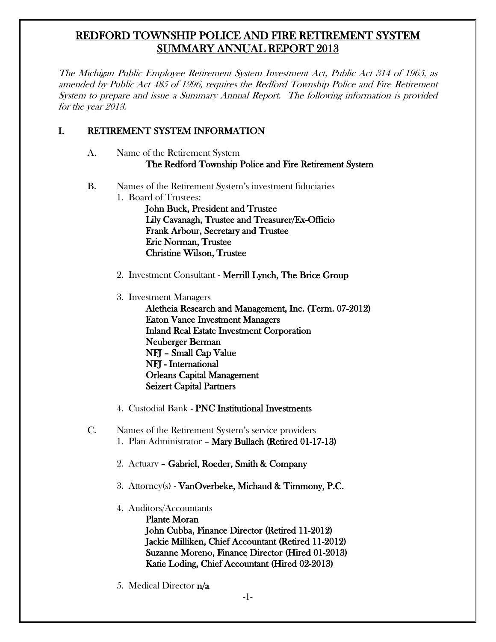# REDFORD TOWNSHIP POLICE AND FIRE RETIREMENT SYSTEM SUMMARY ANNUAL REPORT 2013

The Michigan Public Employee Retirement System Investment Act, Public Act 314 of 1965, as amended by Public Act 485 of 1996, requires the Redford Township Police and Fire Retirement System to prepare and issue a Summary Annual Report. The following information is provided for the year 2013.

### I. RETIREMENT SYSTEM INFORMATION

- A. Name of the Retirement System The Redford Township Police and Fire Retirement System
- B. Names of the Retirement System's investment fiduciaries 1. Board of Trustees:

John Buck, President and Trustee Lily Cavanagh, Trustee and Treasurer/Ex-Officio Frank Arbour, Secretary and Trustee Eric Norman, Trustee Christine Wilson, Trustee

- 2. Investment Consultant Merrill Lynch, The Brice Group
- 3. Investment Managers

Aletheia Research and Management, Inc. (Term. 07-2012) Eaton Vance Investment Managers Inland Real Estate Investment Corporation Neuberger Berman NFJ – Small Cap Value NFJ - International Orleans Capital Management Seizert Capital Partners

- 4. Custodial Bank PNC Institutional Investments
- C. Names of the Retirement System's service providers 1. Plan Administrator – Mary Bullach (Retired 01-17-13)
	- 2. Actuary Gabriel, Roeder, Smith & Company
	- 3. Attorney(s) VanOverbeke, Michaud & Timmony, P.C.
	- 4. Auditors/Accountants

Plante Moran John Cubba, Finance Director (Retired 11-2012) Jackie Milliken, Chief Accountant (Retired 11-2012) Suzanne Moreno, Finance Director (Hired 01-2013) Katie Loding, Chief Accountant (Hired 02-2013)

5. Medical Director n/a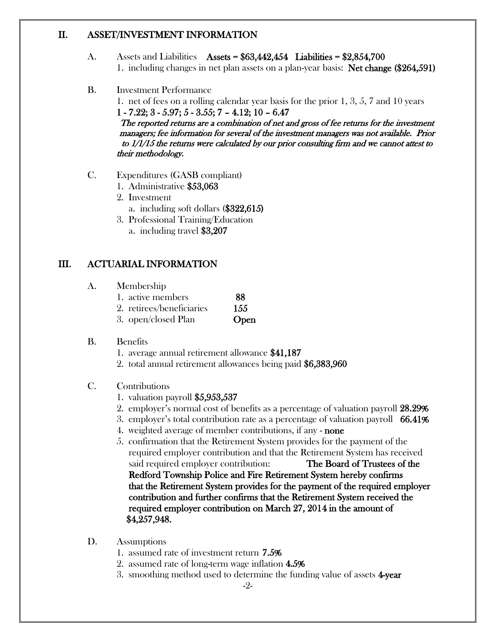#### II. ASSET/INVESTMENT INFORMATION

- A. Assets and Liabilities Assets =  $$63,442,454$  Liabilities =  $$2,854,700$ 1. including changes in net plan assets on a plan-year basis: Net change (\$264,591)
- B. Investment Performance

1. net of fees on a rolling calendar year basis for the prior 1, 3, 5, 7 and 10 years  $1 - 7.22$ ;  $3 - 5.97$ ;  $5 - 3.55$ ;  $7 - 4.12$ ;  $10 - 6.47$ 

The reported returns are a combination of net and gross of fee returns for the investment managers; fee information for several of the investment managers was not available. Prior to 1/1/15 the returns were calculated by our prior consulting firm and we cannot attest to their methodology.

- C. Expenditures (GASB compliant)
	- 1. Administrative \$53,063
	- 2. Investment
		- a. including soft dollars (\$322,615)
	- 3. Professional Training/Education
		- a. including travel \$3,207

### III. ACTUARIAL INFORMATION

- A. Membership
	- 1. active members 88
	- 2. retirees/beneficiaries 155
	- 3. open/closed Plan **Open**
- B. Benefits
	- 1. average annual retirement allowance \$41,187
	- 2. total annual retirement allowances being paid \$6,383,960
- C. Contributions
	- 1. valuation payroll \$5,953,537
	- 2. employer's normal cost of benefits as a percentage of valuation payroll 28.29%
	- 3. employer's total contribution rate as a percentage of valuation payroll 66.41%
	- 4. weighted average of member contributions, if any none
	- 5. confirmation that the Retirement System provides for the payment of the required employer contribution and that the Retirement System has received said required employer contribution: The Board of Trustees of the Redford Township Police and Fire Retirement System hereby confirms that the Retirement System provides for the payment of the required employer contribution and further confirms that the Retirement System received the required employer contribution on March 27, 2014 in the amount of \$4,257,948.
- D. Assumptions
	- 1. assumed rate of investment return 7.5%
	- 2. assumed rate of long-term wage inflation 4.5%
	- 3. smoothing method used to determine the funding value of assets 4-year